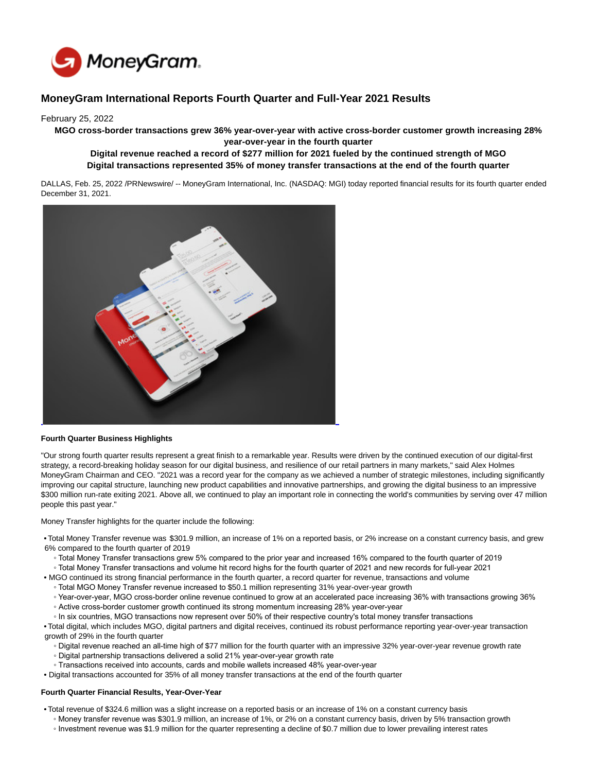

# **MoneyGram International Reports Fourth Quarter and Full-Year 2021 Results**

February 25, 2022

**MGO cross-border transactions grew 36% year-over-year with active cross-border customer growth increasing 28% year-over-year in the fourth quarter**

**Digital revenue reached a record of \$277 million for 2021 fueled by the continued strength of MGO Digital transactions represented 35% of money transfer transactions at the end of the fourth quarter**

DALLAS, Feb. 25, 2022 /PRNewswire/ -- MoneyGram International, Inc. (NASDAQ: MGI) today reported financial results for its fourth quarter ended December 31, 2021.



### **Fourth Quarter Business Highlights**

"Our strong fourth quarter results represent a great finish to a remarkable year. Results were driven by the continued execution of our digital-first strategy, a record-breaking holiday season for our digital business, and resilience of our retail partners in many markets," said Alex Holmes MoneyGram Chairman and CEO. "2021 was a record year for the company as we achieved a number of strategic milestones, including significantly improving our capital structure, launching new product capabilities and innovative partnerships, and growing the digital business to an impressive \$300 million run-rate exiting 2021. Above all, we continued to play an important role in connecting the world's communities by serving over 47 million people this past year."

Money Transfer highlights for the quarter include the following:

• Total Money Transfer revenue was \$301.9 million, an increase of 1% on a reported basis, or 2% increase on a constant currency basis, and grew 6% compared to the fourth quarter of 2019

◦ Total Money Transfer transactions grew 5% compared to the prior year and increased 16% compared to the fourth quarter of 2019

◦ Total Money Transfer transactions and volume hit record highs for the fourth quarter of 2021 and new records for full-year 2021

• MGO continued its strong financial performance in the fourth quarter, a record quarter for revenue, transactions and volume

- Total MGO Money Transfer revenue increased to \$50.1 million representing 31% year-over-year growth
- Year-over-year, MGO cross-border online revenue continued to grow at an accelerated pace increasing 36% with transactions growing 36%
- Active cross-border customer growth continued its strong momentum increasing 28% year-over-year

◦ In six countries, MGO transactions now represent over 50% of their respective country's total money transfer transactions

• Total digital, which includes MGO, digital partners and digital receives, continued its robust performance reporting year-over-year transaction growth of 29% in the fourth quarter

- Digital revenue reached an all-time high of \$77 million for the fourth quarter with an impressive 32% year-over-year revenue growth rate
- Digital partnership transactions delivered a solid 21% year-over-year growth rate
- Transactions received into accounts, cards and mobile wallets increased 48% year-over-year
- Digital transactions accounted for 35% of all money transfer transactions at the end of the fourth quarter

### **Fourth Quarter Financial Results, Year-Over-Year**

- Total revenue of \$324.6 million was a slight increase on a reported basis or an increase of 1% on a constant currency basis ◦ Money transfer revenue was \$301.9 million, an increase of 1%, or 2% on a constant currency basis, driven by 5% transaction growth
	- Investment revenue was \$1.9 million for the quarter representing a decline of \$0.7 million due to lower prevailing interest rates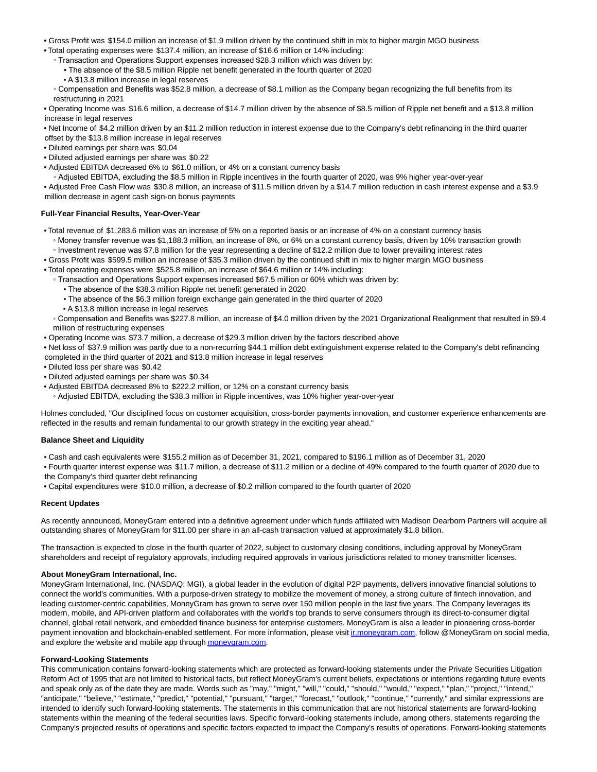- Gross Profit was \$154.0 million an increase of \$1.9 million driven by the continued shift in mix to higher margin MGO business
- Total operating expenses were \$137.4 million, an increase of \$16.6 million or 14% including:
	- Transaction and Operations Support expenses increased \$28.3 million which was driven by:
		- The absence of the \$8.5 million Ripple net benefit generated in the fourth quarter of 2020
		- **A \$13.8 million increase in legal reserves**
	- Compensation and Benefits was \$52.8 million, a decrease of \$8.1 million as the Company began recognizing the full benefits from its restructuring in 2021

• Operating Income was \$16.6 million, a decrease of \$14.7 million driven by the absence of \$8.5 million of Ripple net benefit and a \$13.8 million increase in legal reserves

• Net Income of \$4.2 million driven by an \$11.2 million reduction in interest expense due to the Company's debt refinancing in the third quarter offset by the \$13.8 million increase in legal reserves

- Diluted earnings per share was \$0.04
- Diluted adjusted earnings per share was \$0.22
- Adjusted EBITDA decreased 6% to \$61.0 million, or 4% on a constant currency basis

◦ Adjusted EBITDA, excluding the \$8.5 million in Ripple incentives in the fourth quarter of 2020, was 9% higher year-over-year

• Adjusted Free Cash Flow was \$30.8 million, an increase of \$11.5 million driven by a \$14.7 million reduction in cash interest expense and a \$3.9 million decrease in agent cash sign-on bonus payments

### **Full-Year Financial Results, Year-Over-Year**

• Total revenue of \$1,283.6 million was an increase of 5% on a reported basis or an increase of 4% on a constant currency basis

- Money transfer revenue was \$1,188.3 million, an increase of 8%, or 6% on a constant currency basis, driven by 10% transaction growth
- Investment revenue was \$7.8 million for the year representing a decline of \$12.2 million due to lower prevailing interest rates
- Gross Profit was \$599.5 million an increase of \$35.3 million driven by the continued shift in mix to higher margin MGO business
- Total operating expenses were \$525.8 million, an increase of \$64.6 million or 14% including:
	- Transaction and Operations Support expenses increased \$67.5 million or 60% which was driven by:
		- The absence of the \$38.3 million Ripple net benefit generated in 2020
		- The absence of the \$6.3 million foreign exchange gain generated in the third quarter of 2020
		- A \$13.8 million increase in legal reserves
- Compensation and Benefits was \$227.8 million, an increase of \$4.0 million driven by the 2021 Organizational Realignment that resulted in \$9.4 million of restructuring expenses
- Operating Income was \$73.7 million, a decrease of \$29.3 million driven by the factors described above
- Net loss of \$37.9 million was partly due to a non-recurring \$44.1 million debt extinguishment expense related to the Company's debt refinancing completed in the third quarter of 2021 and \$13.8 million increase in legal reserves
- Diluted loss per share was \$0.42
- Diluted adjusted earnings per share was \$0.34
- Adjusted EBITDA decreased 8% to \$222.2 million, or 12% on a constant currency basis
	- Adjusted EBITDA, excluding the \$38.3 million in Ripple incentives, was 10% higher year-over-year

Holmes concluded, "Our disciplined focus on customer acquisition, cross-border payments innovation, and customer experience enhancements are reflected in the results and remain fundamental to our growth strategy in the exciting year ahead."

### **Balance Sheet and Liquidity**

- Cash and cash equivalents were \$155.2 million as of December 31, 2021, compared to \$196.1 million as of December 31, 2020
- Fourth quarter interest expense was \$11.7 million, a decrease of \$11.2 million or a decline of 49% compared to the fourth quarter of 2020 due to the Company's third quarter debt refinancing
- Capital expenditures were \$10.0 million, a decrease of \$0.2 million compared to the fourth quarter of 2020

#### **Recent Updates**

As recently announced, MoneyGram entered into a definitive agreement under which funds affiliated with Madison Dearborn Partners will acquire all outstanding shares of MoneyGram for \$11.00 per share in an all-cash transaction valued at approximately \$1.8 billion.

The transaction is expected to close in the fourth quarter of 2022, subject to customary closing conditions, including approval by MoneyGram shareholders and receipt of regulatory approvals, including required approvals in various jurisdictions related to money transmitter licenses.

### **About MoneyGram International, Inc.**

MoneyGram International, Inc. (NASDAQ: MGI), a global leader in the evolution of digital P2P payments, delivers innovative financial solutions to connect the world's communities. With a purpose-driven strategy to mobilize the movement of money, a strong culture of fintech innovation, and leading customer-centric capabilities, MoneyGram has grown to serve over 150 million people in the last five years. The Company leverages its modern, mobile, and API-driven platform and collaborates with the world's top brands to serve consumers through its direct-to-consumer digital channel, global retail network, and embedded finance business for enterprise customers. MoneyGram is also a leader in pioneering cross-border payment innovation and blockchain-enabled settlement. For more information, please visit in moneygram.com, follow @MoneyGram on social media, and explore the website and mobile app throug[h moneygram.com.](http://moneygram.com/)

### **Forward-Looking Statements**

This communication contains forward-looking statements which are protected as forward-looking statements under the Private Securities Litigation Reform Act of 1995 that are not limited to historical facts, but reflect MoneyGram's current beliefs, expectations or intentions regarding future events and speak only as of the date they are made. Words such as "may," "might," "will," "could," "should," "would," "expect," "plan," "project," "intend," "anticipate," "believe," "estimate," "predict," "potential," "pursuant," "target," "forecast," "outlook," "continue," "currently," and similar expressions are intended to identify such forward-looking statements. The statements in this communication that are not historical statements are forward-looking statements within the meaning of the federal securities laws. Specific forward-looking statements include, among others, statements regarding the Company's projected results of operations and specific factors expected to impact the Company's results of operations. Forward-looking statements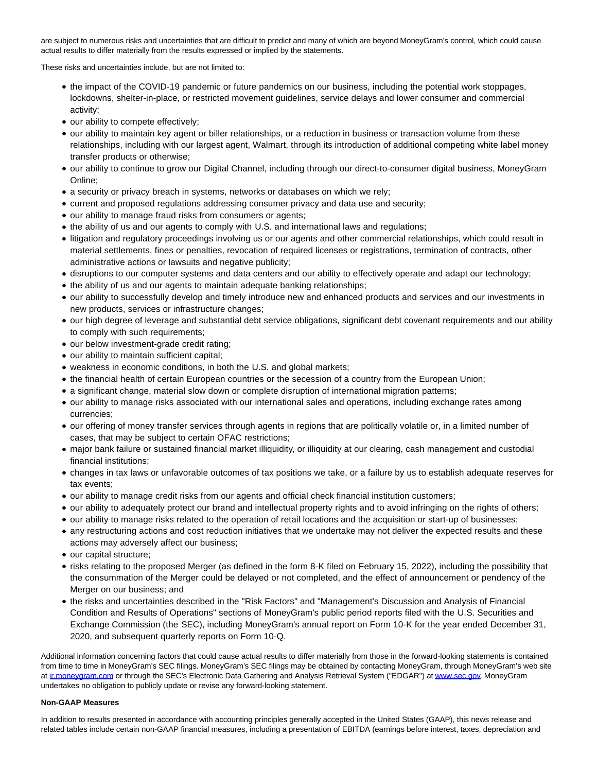are subject to numerous risks and uncertainties that are difficult to predict and many of which are beyond MoneyGram's control, which could cause actual results to differ materially from the results expressed or implied by the statements.

These risks and uncertainties include, but are not limited to:

- the impact of the COVID-19 pandemic or future pandemics on our business, including the potential work stoppages, lockdowns, shelter-in-place, or restricted movement guidelines, service delays and lower consumer and commercial activity;
- our ability to compete effectively;
- our ability to maintain key agent or biller relationships, or a reduction in business or transaction volume from these relationships, including with our largest agent, Walmart, through its introduction of additional competing white label money transfer products or otherwise;
- our ability to continue to grow our Digital Channel, including through our direct-to-consumer digital business, MoneyGram Online;
- a security or privacy breach in systems, networks or databases on which we rely;
- current and proposed regulations addressing consumer privacy and data use and security;
- our ability to manage fraud risks from consumers or agents;
- the ability of us and our agents to comply with U.S. and international laws and regulations;
- litigation and regulatory proceedings involving us or our agents and other commercial relationships, which could result in material settlements, fines or penalties, revocation of required licenses or registrations, termination of contracts, other administrative actions or lawsuits and negative publicity;
- disruptions to our computer systems and data centers and our ability to effectively operate and adapt our technology;
- the ability of us and our agents to maintain adequate banking relationships;
- our ability to successfully develop and timely introduce new and enhanced products and services and our investments in new products, services or infrastructure changes;
- our high degree of leverage and substantial debt service obligations, significant debt covenant requirements and our ability to comply with such requirements;
- our below investment-grade credit rating;
- our ability to maintain sufficient capital;
- weakness in economic conditions, in both the U.S. and global markets;
- the financial health of certain European countries or the secession of a country from the European Union;
- a significant change, material slow down or complete disruption of international migration patterns;
- our ability to manage risks associated with our international sales and operations, including exchange rates among currencies;
- our offering of money transfer services through agents in regions that are politically volatile or, in a limited number of cases, that may be subject to certain OFAC restrictions;
- major bank failure or sustained financial market illiquidity, or illiquidity at our clearing, cash management and custodial financial institutions;
- changes in tax laws or unfavorable outcomes of tax positions we take, or a failure by us to establish adequate reserves for tax events;
- our ability to manage credit risks from our agents and official check financial institution customers;
- our ability to adequately protect our brand and intellectual property rights and to avoid infringing on the rights of others;
- our ability to manage risks related to the operation of retail locations and the acquisition or start-up of businesses;
- any restructuring actions and cost reduction initiatives that we undertake may not deliver the expected results and these actions may adversely affect our business;
- our capital structure;
- risks relating to the proposed Merger (as defined in the form 8-K filed on February 15, 2022), including the possibility that the consummation of the Merger could be delayed or not completed, and the effect of announcement or pendency of the Merger on our business; and
- the risks and uncertainties described in the "Risk Factors" and "Management's Discussion and Analysis of Financial Condition and Results of Operations" sections of MoneyGram's public period reports filed with the U.S. Securities and Exchange Commission (the SEC), including MoneyGram's annual report on Form 10-K for the year ended December 31, 2020, and subsequent quarterly reports on Form 10-Q.

Additional information concerning factors that could cause actual results to differ materially from those in the forward-looking statements is contained from time to time in MoneyGram's SEC filings. MoneyGram's SEC filings may be obtained by contacting MoneyGram, through MoneyGram's web site at [ir.moneygram.com o](http://ir.moneygram.com/)r through the SEC's Electronic Data Gathering and Analysis Retrieval System ("EDGAR") a[t www.sec.gov.](https://c212.net/c/link/?t=0&l=en&o=3455351-1&h=1697432794&u=http%3A%2F%2Fwww.sec.gov%2F&a=www.sec.gov) MoneyGram undertakes no obligation to publicly update or revise any forward-looking statement.

### **Non-GAAP Measures**

In addition to results presented in accordance with accounting principles generally accepted in the United States (GAAP), this news release and related tables include certain non-GAAP financial measures, including a presentation of EBITDA (earnings before interest, taxes, depreciation and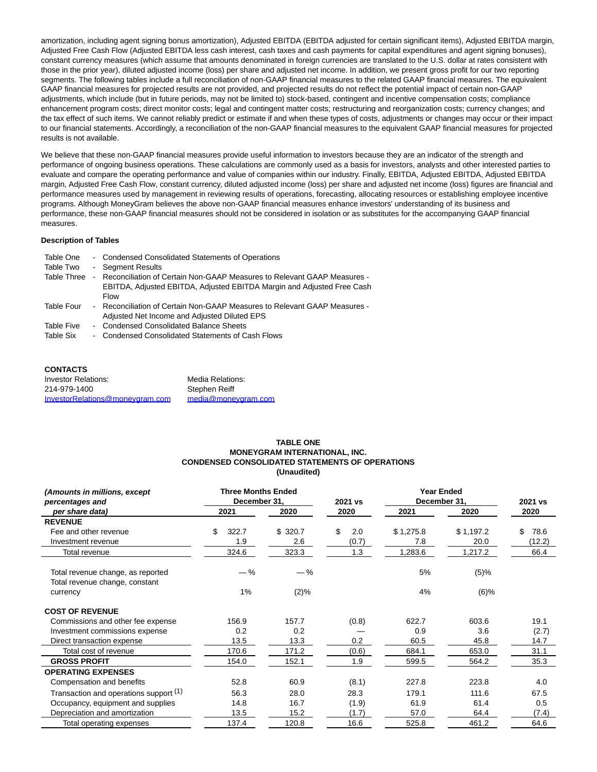amortization, including agent signing bonus amortization), Adjusted EBITDA (EBITDA adjusted for certain significant items), Adjusted EBITDA margin, Adjusted Free Cash Flow (Adjusted EBITDA less cash interest, cash taxes and cash payments for capital expenditures and agent signing bonuses), constant currency measures (which assume that amounts denominated in foreign currencies are translated to the U.S. dollar at rates consistent with those in the prior year), diluted adjusted income (loss) per share and adjusted net income. In addition, we present gross profit for our two reporting segments. The following tables include a full reconciliation of non-GAAP financial measures to the related GAAP financial measures. The equivalent GAAP financial measures for projected results are not provided, and projected results do not reflect the potential impact of certain non-GAAP adjustments, which include (but in future periods, may not be limited to) stock-based, contingent and incentive compensation costs; compliance enhancement program costs; direct monitor costs; legal and contingent matter costs; restructuring and reorganization costs; currency changes; and the tax effect of such items. We cannot reliably predict or estimate if and when these types of costs, adjustments or changes may occur or their impact to our financial statements. Accordingly, a reconciliation of the non-GAAP financial measures to the equivalent GAAP financial measures for projected results is not available.

We believe that these non-GAAP financial measures provide useful information to investors because they are an indicator of the strength and performance of ongoing business operations. These calculations are commonly used as a basis for investors, analysts and other interested parties to evaluate and compare the operating performance and value of companies within our industry. Finally, EBITDA, Adjusted EBITDA, Adjusted EBITDA margin, Adjusted Free Cash Flow, constant currency, diluted adjusted income (loss) per share and adjusted net income (loss) figures are financial and performance measures used by management in reviewing results of operations, forecasting, allocating resources or establishing employee incentive programs. Although MoneyGram believes the above non-GAAP financial measures enhance investors' understanding of its business and performance, these non-GAAP financial measures should not be considered in isolation or as substitutes for the accompanying GAAP financial measures.

### **Description of Tables**

| Table One         |        | - Condensed Consolidated Statements of Operations                         |
|-------------------|--------|---------------------------------------------------------------------------|
| Table Two         |        | - Segment Results                                                         |
| Table Three       | $\sim$ | Reconciliation of Certain Non-GAAP Measures to Relevant GAAP Measures -   |
|                   |        | EBITDA, Adjusted EBITDA, Adjusted EBITDA Margin and Adjusted Free Cash    |
|                   |        | Flow                                                                      |
| Table Four        |        | - Reconciliation of Certain Non-GAAP Measures to Relevant GAAP Measures - |
|                   |        | Adjusted Net Income and Adjusted Diluted EPS                              |
| <b>Table Five</b> |        | - Condensed Consolidated Balance Sheets                                   |
| Table Six         |        | - Condensed Consolidated Statements of Cash Flows                         |

## **CONTACTS**

| Investor Relations:             | Media Relations:    |
|---------------------------------|---------------------|
| 214-979-1400                    | Stephen Reiff       |
| InvestorRelations@moneygram.com | media@moneygram.com |

### **TABLE ONE MONEYGRAM INTERNATIONAL, INC. CONDENSED CONSOLIDATED STATEMENTS OF OPERATIONS (Unaudited)**

| (Amounts in millions, except<br>percentages and                     | <b>Three Months Ended</b><br>December 31, |         | 2021 vs   | <b>Year Ended</b><br>December 31, | 2021 vs   |            |
|---------------------------------------------------------------------|-------------------------------------------|---------|-----------|-----------------------------------|-----------|------------|
| per share data)                                                     | 2021                                      | 2020    | 2020      | 2021                              | 2020      | 2020       |
| <b>REVENUE</b>                                                      |                                           |         |           |                                   |           |            |
| Fee and other revenue                                               | \$<br>322.7                               | \$320.7 | \$<br>2.0 | \$1,275.8                         | \$1,197.2 | \$<br>78.6 |
| Investment revenue                                                  | 1.9                                       | 2.6     | (0.7)     | 7.8                               | 20.0      | (12.2)     |
| Total revenue                                                       | 324.6                                     | 323.3   | 1.3       | 1,283.6                           | 1,217.2   | 66.4       |
| Total revenue change, as reported<br>Total revenue change, constant | $-$ %                                     | $-$ %   |           | 5%                                | $(5)\%$   |            |
| currency                                                            | $1\%$                                     | (2)%    |           | 4%                                | $(6)\%$   |            |
| <b>COST OF REVENUE</b>                                              |                                           |         |           |                                   |           |            |
| Commissions and other fee expense                                   | 156.9                                     | 157.7   | (0.8)     | 622.7                             | 603.6     | 19.1       |
| Investment commissions expense                                      | 0.2                                       | 0.2     |           | 0.9                               | 3.6       | (2.7)      |
| Direct transaction expense                                          | 13.5                                      | 13.3    | 0.2       | 60.5                              | 45.8      | 14.7       |
| Total cost of revenue                                               | 170.6                                     | 171.2   | (0.6)     | 684.1                             | 653.0     | 31.1       |
| <b>GROSS PROFIT</b>                                                 | 154.0                                     | 152.1   | 1.9       | 599.5                             | 564.2     | 35.3       |
| <b>OPERATING EXPENSES</b>                                           |                                           |         |           |                                   |           |            |
| Compensation and benefits                                           | 52.8                                      | 60.9    | (8.1)     | 227.8                             | 223.8     | 4.0        |
| Transaction and operations support (1)                              | 56.3                                      | 28.0    | 28.3      | 179.1                             | 111.6     | 67.5       |
| Occupancy, equipment and supplies                                   | 14.8                                      | 16.7    | (1.9)     | 61.9                              | 61.4      | 0.5        |
| Depreciation and amortization                                       | 13.5                                      | 15.2    | (1.7)     | 57.0                              | 64.4      | (7.4)      |
| Total operating expenses                                            | 137.4                                     | 120.8   | 16.6      | 525.8                             | 461.2     | 64.6       |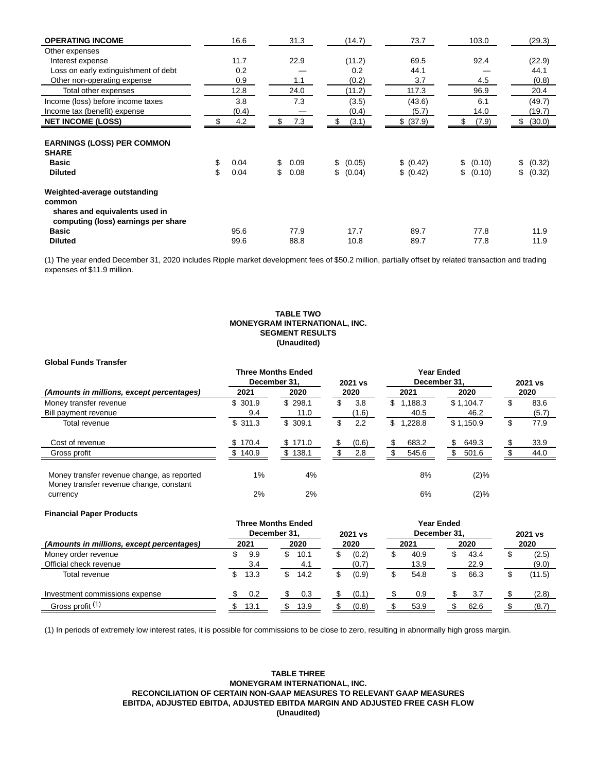| <b>OPERATING INCOME</b>                                                                                         |          | 16.6         |          | 31.3         | (14.7)                       | 73.7                   |          | 103.0            | (29.3)                    |
|-----------------------------------------------------------------------------------------------------------------|----------|--------------|----------|--------------|------------------------------|------------------------|----------|------------------|---------------------------|
| Other expenses                                                                                                  |          |              |          |              |                              |                        |          |                  |                           |
| Interest expense                                                                                                |          | 11.7         |          | 22.9         | (11.2)                       | 69.5                   |          | 92.4             | (22.9)                    |
| Loss on early extinguishment of debt                                                                            |          | 0.2          |          |              | 0.2                          | 44.1                   |          |                  | 44.1                      |
| Other non-operating expense                                                                                     |          | 0.9          |          | 1.1          | (0.2)                        | 3.7                    |          | 4.5              | (0.8)                     |
| Total other expenses                                                                                            |          | 12.8         |          | 24.0         | (11.2)                       | 117.3                  |          | 96.9             | 20.4                      |
| Income (loss) before income taxes                                                                               |          | 3.8          |          | 7.3          | (3.5)                        | (43.6)                 |          | 6.1              | (49.7)                    |
| Income tax (benefit) expense                                                                                    |          | (0.4)        |          |              | (0.4)                        | (5.7)                  |          | 14.0             | (19.7)                    |
| <b>NET INCOME (LOSS)</b>                                                                                        |          | 4.2          |          | 7.3          | \$<br>(3.1)                  | \$<br>(37.9)           |          | (7.9)            | (30.0)                    |
| <b>EARNINGS (LOSS) PER COMMON</b><br><b>SHARE</b><br><b>Basic</b><br><b>Diluted</b>                             | \$<br>\$ | 0.04<br>0.04 | \$<br>\$ | 0.09<br>0.08 | \$<br>(0.05)<br>\$<br>(0.04) | \$ (0.42)<br>\$ (0.42) | \$<br>\$ | (0.10)<br>(0.10) | \$ (0.32)<br>\$<br>(0.32) |
| Weighted-average outstanding<br>common<br>shares and equivalents used in<br>computing (loss) earnings per share |          |              |          |              |                              |                        |          |                  |                           |
| <b>Basic</b>                                                                                                    |          | 95.6         |          | 77.9         | 17.7                         | 89.7                   |          | 77.8             | 11.9                      |
| <b>Diluted</b>                                                                                                  |          | 99.6         |          | 88.8         | 10.8                         | 89.7                   |          | 77.8             | 11.9                      |

(1) The year ended December 31, 2020 includes Ripple market development fees of \$50.2 million, partially offset by related transaction and trading expenses of \$11.9 million.

### **TABLE TWO MONEYGRAM INTERNATIONAL, INC. SEGMENT RESULTS (Unaudited)**

#### **Global Funds Transfer**

|                                                                                       |         | <b>Three Months Ended</b><br>December 31. | 2021 vs     | <b>Year Ended</b><br>December 31. | 2021 vs    |    |       |
|---------------------------------------------------------------------------------------|---------|-------------------------------------------|-------------|-----------------------------------|------------|----|-------|
| (Amounts in millions, except percentages)                                             | 2021    | 2020                                      | 2020        | 2021                              | 2020       |    | 2020  |
| Money transfer revenue                                                                | \$301.9 | \$298.1                                   | 3.8<br>\$.  | .188.3<br>\$.                     | \$1,104.7  | \$ | 83.6  |
| Bill payment revenue                                                                  | 9.4     | 11.0                                      | (1.6)       | 40.5                              | 46.2       |    | (5.7) |
| Total revenue                                                                         | \$311.3 | \$309.1                                   | \$<br>2.2   | 1,228.8<br>\$                     | \$1,150.9  | \$ | 77.9  |
| Cost of revenue                                                                       | \$170.4 | \$171.0                                   | (0.6)<br>\$ | 683.2<br>\$                       | S<br>649.3 | S  | 33.9  |
| Gross profit                                                                          | \$140.9 | \$<br>138.1                               | 2.8         | 545.6                             | 501.6      |    | 44.0  |
| Money transfer revenue change, as reported<br>Money transfer revenue change, constant | 1%      | 4%                                        |             | 8%                                | $(2)\%$    |    |       |
| currency                                                                              | 2%      | 2%                                        |             | 6%                                | $(2)\%$    |    |       |

### **Financial Paper Products**

|                                           |              | <b>Three Months Ended</b> |      |         |       |              |      | <b>Year Ended</b> |      |         |        |
|-------------------------------------------|--------------|---------------------------|------|---------|-------|--------------|------|-------------------|------|---------|--------|
|                                           | December 31. |                           |      | 2021 vs |       | December 31. |      |                   |      | 2021 vs |        |
| (Amounts in millions, except percentages) | 2021         |                           | 2020 |         | 2020  |              | 2021 |                   | 2020 |         | 2020   |
| Money order revenue                       | 9.9          |                           | 10.1 |         | (0.2) |              | 40.9 |                   | 43.4 |         | (2.5)  |
| Official check revenue                    | 3.4          |                           | 4.1  |         | (0.7) |              | 13.9 |                   | 22.9 |         | (9.0)  |
| Total revenue                             | 13.3         |                           | 14.2 |         | (0.9) |              | 54.8 |                   | 66.3 |         | (11.5) |
| Investment commissions expense            | 0.2          |                           | 0.3  |         | (0.1) |              | 0.9  |                   | 3.7  |         | (2.8)  |
| Gross profit <sup>(1)</sup>               | 13.1         |                           | 13.9 |         | (0.8) |              | 53.9 |                   | 62.6 |         | (8.7)  |

(1) In periods of extremely low interest rates, it is possible for commissions to be close to zero, resulting in abnormally high gross margin.

### **TABLE THREE MONEYGRAM INTERNATIONAL, INC. RECONCILIATION OF CERTAIN NON-GAAP MEASURES TO RELEVANT GAAP MEASURES EBITDA, ADJUSTED EBITDA, ADJUSTED EBITDA MARGIN AND ADJUSTED FREE CASH FLOW (Unaudited)**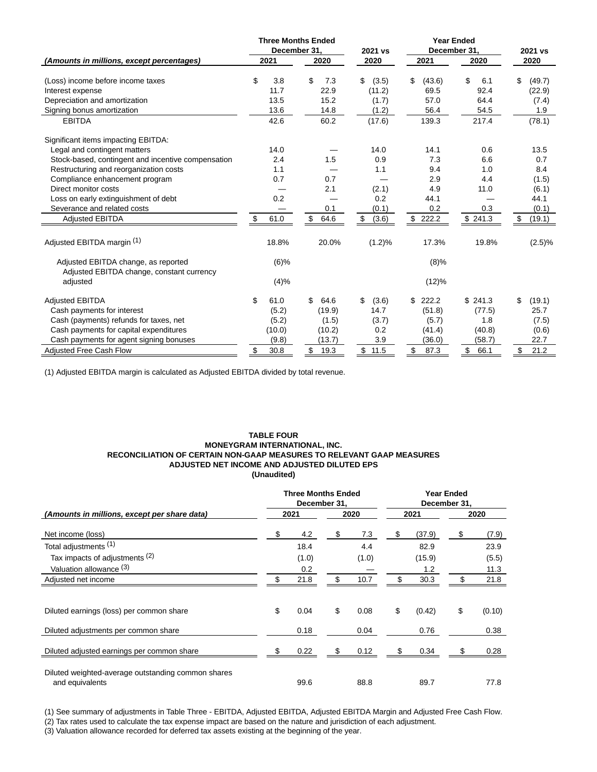|                                                    |              | <b>Three Months Ended</b> |             | <b>Year Ended</b> |             |    |         |              |
|----------------------------------------------------|--------------|---------------------------|-------------|-------------------|-------------|----|---------|--------------|
|                                                    | December 31, |                           | 2021 vs     |                   | December 31 |    |         | 2021 vs      |
| (Amounts in millions, except percentages)          | 2021         | 2020                      | 2020        |                   | 2021        |    | 2020    | 2020         |
| (Loss) income before income taxes                  | \$<br>3.8    | \$<br>7.3                 | \$<br>(3.5) | \$                | (43.6)      | \$ | 6.1     | \$<br>(49.7) |
| Interest expense                                   | 11.7         | 22.9                      | (11.2)      |                   | 69.5        |    | 92.4    | (22.9)       |
| Depreciation and amortization                      | 13.5         | 15.2                      | (1.7)       |                   | 57.0        |    | 64.4    | (7.4)        |
| Signing bonus amortization                         | 13.6         | 14.8                      | (1.2)       |                   | 56.4        |    | 54.5    | 1.9          |
| <b>EBITDA</b>                                      | 42.6         | 60.2                      | (17.6)      |                   | 139.3       |    | 217.4   | (78.1)       |
| Significant items impacting EBITDA:                |              |                           |             |                   |             |    |         |              |
| Legal and contingent matters                       | 14.0         |                           | 14.0        |                   | 14.1        |    | 0.6     | 13.5         |
| Stock-based, contingent and incentive compensation | 2.4          | 1.5                       | 0.9         |                   | 7.3         |    | 6.6     | 0.7          |
| Restructuring and reorganization costs             | 1.1          |                           | 1.1         |                   | 9.4         |    | 1.0     | 8.4          |
| Compliance enhancement program                     | 0.7          | 0.7                       |             |                   | 2.9         |    | 4.4     | (1.5)        |
| Direct monitor costs                               |              | 2.1                       | (2.1)       |                   | 4.9         |    | 11.0    | (6.1)        |
| Loss on early extinguishment of debt               | 0.2          |                           | 0.2         |                   | 44.1        |    |         | 44.1         |
| Severance and related costs                        |              | 0.1                       | (0.1)       |                   | 0.2         |    | 0.3     | (0.1)        |
| <b>Adjusted EBITDA</b>                             | \$<br>61.0   | \$<br>64.6                | \$<br>(3.6) |                   | \$222.2     |    | \$241.3 | \$<br>(19.1) |
| Adjusted EBITDA margin (1)                         | 18.8%        | 20.0%                     | (1.2)%      |                   | 17.3%       |    | 19.8%   | $(2.5)\%$    |
| Adjusted EBITDA change, as reported                | $(6)$ %      |                           |             |                   | $(8)\%$     |    |         |              |
| Adjusted EBITDA change, constant currency          |              |                           |             |                   |             |    |         |              |
| adjusted                                           | (4)%         |                           |             |                   | (12)%       |    |         |              |
| <b>Adjusted EBITDA</b>                             | \$<br>61.0   | \$<br>64.6                | \$<br>(3.6) |                   | \$222.2     |    | \$241.3 | \$<br>(19.1) |
| Cash payments for interest                         | (5.2)        | (19.9)                    | 14.7        |                   | (51.8)      |    | (77.5)  | 25.7         |
| Cash (payments) refunds for taxes, net             | (5.2)        | (1.5)                     | (3.7)       |                   | (5.7)       |    | 1.8     | (7.5)        |
| Cash payments for capital expenditures             | (10.0)       | (10.2)                    | 0.2         |                   | (41.4)      |    | (40.8)  | (0.6)        |
| Cash payments for agent signing bonuses            | (9.8)        | (13.7)                    | 3.9         |                   | (36.0)      |    | (58.7)  | 22.7         |
| <b>Adjusted Free Cash Flow</b>                     | \$<br>30.8   | \$<br>19.3                | 11.5<br>\$  | \$                | 87.3        | \$ | 66.1    | \$<br>21.2   |

(1) Adjusted EBITDA margin is calculated as Adjusted EBITDA divided by total revenue.

### **TABLE FOUR MONEYGRAM INTERNATIONAL, INC. RECONCILIATION OF CERTAIN NON-GAAP MEASURES TO RELEVANT GAAP MEASURES ADJUSTED NET INCOME AND ADJUSTED DILUTED EPS (Unaudited)**

|                                                                       | <b>Three Months Ended</b><br>December 31, |       |      |       |      | <b>Year Ended</b><br>December 31, |    |        |  |
|-----------------------------------------------------------------------|-------------------------------------------|-------|------|-------|------|-----------------------------------|----|--------|--|
| (Amounts in millions, except per share data)                          |                                           | 2021  | 2020 |       | 2021 |                                   |    | 2020   |  |
| Net income (loss)                                                     | \$                                        | 4.2   | \$   | 7.3   | \$   | (37.9)                            | \$ | (7.9)  |  |
| Total adjustments (1)                                                 |                                           | 18.4  |      | 4.4   |      | 82.9                              |    | 23.9   |  |
| Tax impacts of adjustments (2)                                        |                                           | (1.0) |      | (1.0) |      | (15.9)                            |    | (5.5)  |  |
| Valuation allowance (3)                                               |                                           | 0.2   |      |       |      | 1.2                               |    | 11.3   |  |
| Adjusted net income                                                   | \$.                                       | 21.8  |      | 10.7  |      | 30.3                              | \$ | 21.8   |  |
| Diluted earnings (loss) per common share                              | \$                                        | 0.04  | \$   | 0.08  | \$   | (0.42)                            | \$ | (0.10) |  |
| Diluted adjustments per common share                                  |                                           | 0.18  |      | 0.04  |      | 0.76                              |    | 0.38   |  |
| Diluted adjusted earnings per common share                            |                                           | 0.22  | S.   | 0.12  |      | 0.34                              |    | 0.28   |  |
| Diluted weighted-average outstanding common shares<br>and equivalents |                                           | 99.6  |      | 88.8  |      | 89.7                              |    | 77.8   |  |

(1) See summary of adjustments in Table Three - EBITDA, Adjusted EBITDA, Adjusted EBITDA Margin and Adjusted Free Cash Flow.

(2) Tax rates used to calculate the tax expense impact are based on the nature and jurisdiction of each adjustment.

(3) Valuation allowance recorded for deferred tax assets existing at the beginning of the year.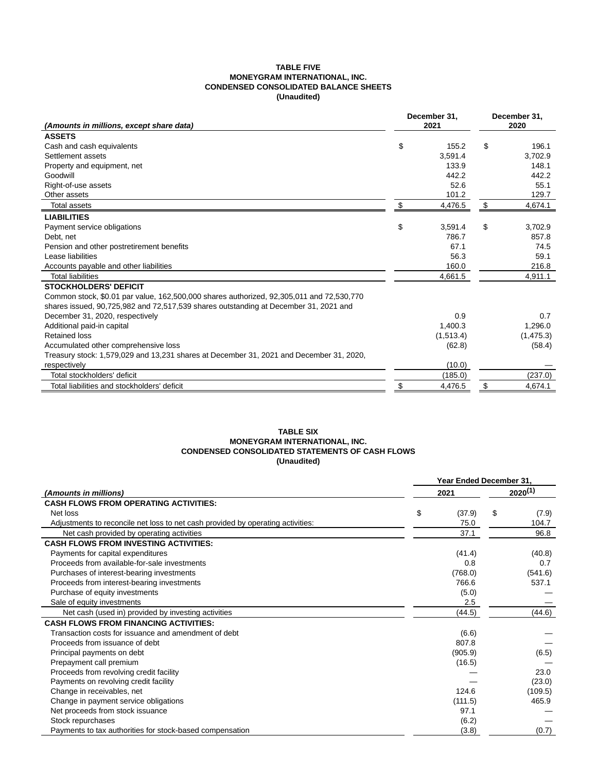### **TABLE FIVE MONEYGRAM INTERNATIONAL, INC. CONDENSED CONSOLIDATED BALANCE SHEETS (Unaudited)**

|                                                                                          | December 31,  | December 31, |            |  |
|------------------------------------------------------------------------------------------|---------------|--------------|------------|--|
| (Amounts in millions, except share data)                                                 | 2021          | 2020         |            |  |
| <b>ASSETS</b>                                                                            |               |              |            |  |
| Cash and cash equivalents                                                                | \$<br>155.2   | \$           | 196.1      |  |
| Settlement assets                                                                        | 3.591.4       |              | 3,702.9    |  |
| Property and equipment, net                                                              | 133.9         |              | 148.1      |  |
| Goodwill                                                                                 | 442.2         |              | 442.2      |  |
| Right-of-use assets                                                                      | 52.6          |              | 55.1       |  |
| Other assets                                                                             | 101.2         |              | 129.7      |  |
| Total assets                                                                             | \$<br>4,476.5 | \$           | 4,674.1    |  |
| <b>LIABILITIES</b>                                                                       |               |              |            |  |
| Payment service obligations                                                              | \$<br>3,591.4 | \$           | 3,702.9    |  |
| Debt, net                                                                                | 786.7         |              | 857.8      |  |
| Pension and other postretirement benefits                                                | 67.1          |              | 74.5       |  |
| Lease liabilities                                                                        | 56.3          |              | 59.1       |  |
| Accounts payable and other liabilities                                                   | 160.0         |              | 216.8      |  |
| <b>Total liabilities</b>                                                                 | 4,661.5       |              | 4,911.1    |  |
| <b>STOCKHOLDERS' DEFICIT</b>                                                             |               |              |            |  |
| Common stock, \$0.01 par value, 162,500,000 shares authorized, 92,305,011 and 72,530,770 |               |              |            |  |
| shares issued, 90,725,982 and 72,517,539 shares outstanding at December 31, 2021 and     |               |              |            |  |
| December 31, 2020, respectively                                                          | 0.9           |              | 0.7        |  |
| Additional paid-in capital                                                               | 1,400.3       |              | 1,296.0    |  |
| <b>Retained loss</b>                                                                     | (1,513.4)     |              | (1, 475.3) |  |
| Accumulated other comprehensive loss                                                     | (62.8)        |              | (58.4)     |  |
| Treasury stock: 1,579,029 and 13,231 shares at December 31, 2021 and December 31, 2020,  |               |              |            |  |
| respectively                                                                             | (10.0)        |              |            |  |
| Total stockholders' deficit                                                              | (185.0)       |              | (237.0)    |  |
| Total liabilities and stockholders' deficit                                              | \$<br>4,476.5 | \$           | 4,674.1    |  |

### **TABLE SIX MONEYGRAM INTERNATIONAL, INC. CONDENSED CONSOLIDATED STATEMENTS OF CASH FLOWS (Unaudited)**

|                                                                                 | Year Ended December 31, |         |    |              |  |  |  |
|---------------------------------------------------------------------------------|-------------------------|---------|----|--------------|--|--|--|
| (Amounts in millions)                                                           |                         | 2021    |    | $2020^{(1)}$ |  |  |  |
| <b>CASH FLOWS FROM OPERATING ACTIVITIES:</b>                                    |                         |         |    |              |  |  |  |
| Net loss                                                                        | \$                      | (37.9)  | \$ | (7.9)        |  |  |  |
| Adjustments to reconcile net loss to net cash provided by operating activities: |                         | 75.0    |    | 104.7        |  |  |  |
| Net cash provided by operating activities                                       |                         | 37.1    |    | 96.8         |  |  |  |
| <b>CASH FLOWS FROM INVESTING ACTIVITIES:</b>                                    |                         |         |    |              |  |  |  |
| Payments for capital expenditures                                               |                         | (41.4)  |    | (40.8)       |  |  |  |
| Proceeds from available-for-sale investments                                    |                         | 0.8     |    | 0.7          |  |  |  |
| Purchases of interest-bearing investments                                       |                         | (768.0) |    | (541.6)      |  |  |  |
| Proceeds from interest-bearing investments                                      |                         | 766.6   |    | 537.1        |  |  |  |
| Purchase of equity investments                                                  |                         | (5.0)   |    |              |  |  |  |
| Sale of equity investments                                                      |                         | 2.5     |    |              |  |  |  |
| Net cash (used in) provided by investing activities                             |                         | (44.5)  |    | (44.6)       |  |  |  |
| <b>CASH FLOWS FROM FINANCING ACTIVITIES:</b>                                    |                         |         |    |              |  |  |  |
| Transaction costs for issuance and amendment of debt                            |                         | (6.6)   |    |              |  |  |  |
| Proceeds from issuance of debt                                                  |                         | 807.8   |    |              |  |  |  |
| Principal payments on debt                                                      |                         | (905.9) |    | (6.5)        |  |  |  |
| Prepayment call premium                                                         |                         | (16.5)  |    |              |  |  |  |
| Proceeds from revolving credit facility                                         |                         |         |    | 23.0         |  |  |  |
| Payments on revolving credit facility                                           |                         |         |    | (23.0)       |  |  |  |
| Change in receivables, net                                                      |                         | 124.6   |    | (109.5)      |  |  |  |
| Change in payment service obligations                                           |                         | (111.5) |    | 465.9        |  |  |  |
| Net proceeds from stock issuance                                                |                         | 97.1    |    |              |  |  |  |
| Stock repurchases                                                               |                         | (6.2)   |    |              |  |  |  |
| Payments to tax authorities for stock-based compensation                        |                         | (3.8)   |    | (0.7)        |  |  |  |